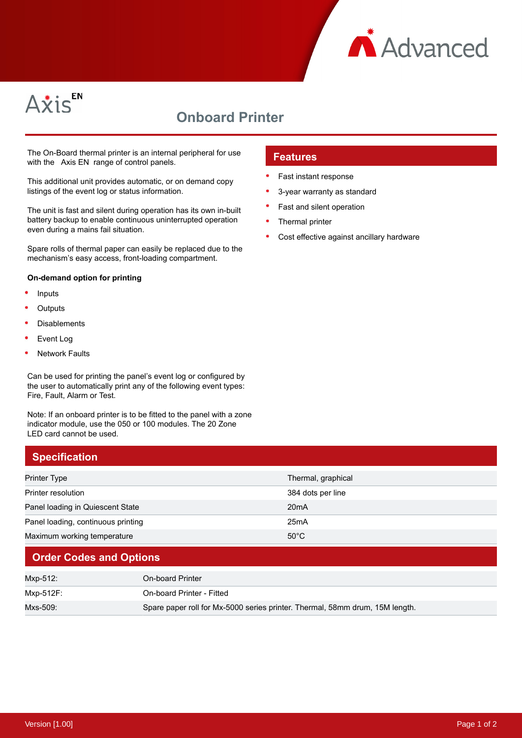



# **Onboard Printer**

The On-Board thermal printer is an internal peripheral for use with the Axis EN range of control panels.

This additional unit provides automatic, or on demand copy listings of the event log or status information.

The unit is fast and silent during operation has its own in-built battery backup to enable continuous uninterrupted operation even during a mains fail situation.

Spare rolls of thermal paper can easily be replaced due to the mechanism's easy access, front-loading compartment.

#### **On-demand option for printing**

- Inputs
- **Outputs**
- Disablements
- Event Log
- Network Faults

Can be used for printing the panel's event log or configured by the user to automatically print any of the following event types: Fire, Fault, Alarm or Test.

Note: If an onboard printer is to be fitted to the panel with a zone indicator module, use the 050 or 100 modules. The 20 Zone LED card cannot be used.

### **Specification**

## Printer Type **Thermal, graphical** Printer resolution 384 dots per line Panel loading in Quiescent State 20mA Panel loading, continuous printing 25mA Maximum working temperature 50°C

### **Order Codes and Options**

| Mxp-512:  | On-board Printer                                                             |
|-----------|------------------------------------------------------------------------------|
| Mxp-512F: | On-board Printer - Fitted                                                    |
| Mxs-509:  | Spare paper roll for Mx-5000 series printer. Thermal, 58mm drum, 15M length. |

#### **Features**

- Fast instant response
- 3-year warranty as standard
- Fast and silent operation
- Thermal printer
- Cost effective against ancillary hardware